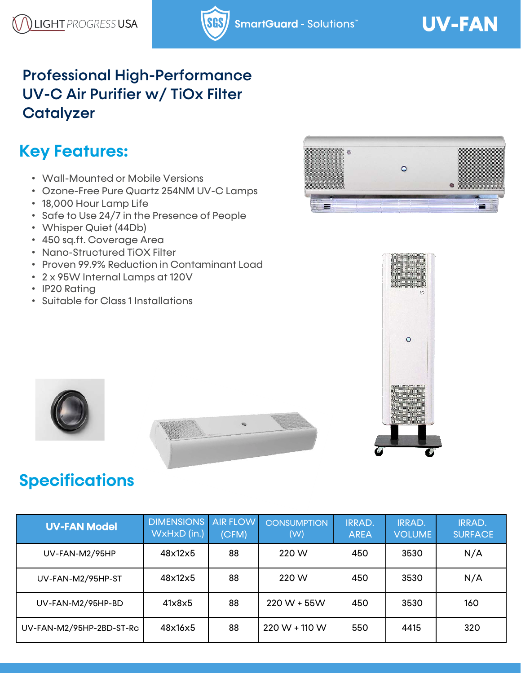#### Professional High-Performance UV-C Air Purifier w/ TiOx Filter **Catalyzer**

# **Key Features:**

- Wall-Mounted or Mobile Versions
- Ozone-Free Pure Quartz 254NM UV-C Lamps
- 18,000 Hour Lamp Life
- Safe to Use 24/7 in the Presence of People
- Whisper Quiet (44Db)
- 450 sq.ft. Coverage Area
- Nano-Structured TiOX Filter
- Proven 99.9% Reduction in Contaminant Load
- 2 x 95W Internal Lamps at 120V
- IP20 Rating
- Suitable for Class 1 Installations









## **Specifications**

| <b>UV-FAN Model</b>      | <b>DIMENSIONS</b><br>WxHxD (in.) | <b>AIR FLOW</b><br>(CFM) | <b>CONSUMPTION</b><br>(W) | <b>IRRAD.</b><br><b>AREA</b> | <b>IRRAD.</b><br><b>VOLUME</b> | <b>IRRAD.</b><br><b>SURFACE</b> |
|--------------------------|----------------------------------|--------------------------|---------------------------|------------------------------|--------------------------------|---------------------------------|
| UV-FAN-M2/95HP           | 48x12x5                          | 88                       | 220 W                     | 450                          | 3530                           | N/A                             |
| UV-FAN-M2/95HP-ST        | 48x12x5                          | 88                       | 220 W                     | 450                          | 3530                           | N/A                             |
| UV-FAN-M2/95HP-BD        | 41x8x5                           | 88                       | $220 W + 55 W$            | 450                          | 3530                           | 160                             |
| UV-FAN-M2/95HP-2BD-ST-Rc | 48x16x5                          | 88                       | $220 W + 110 W$           | 550                          | 4415                           | 320                             |